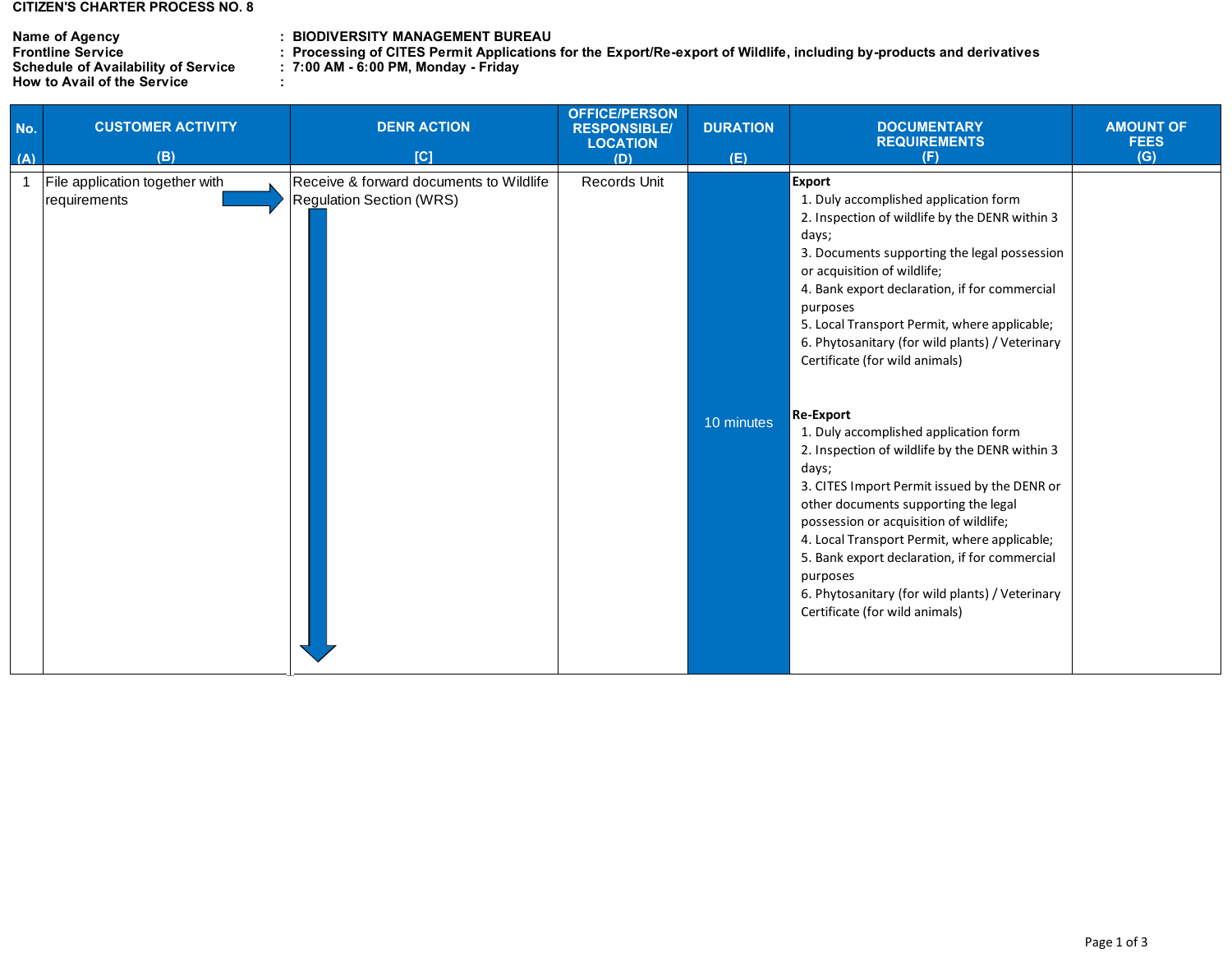## **CITIZEN'S CHARTER PROCESS NO. 8**

**Frontline Service<br>Schedule of Availability of Service<br>How to Avail of the Service** 

## **: Name of Agency BIODIVERSITY MANAGEMENT BUREAU**

**: Frontline Service Processing of CITES Permit Applications for the Export/Re-export of Wildlife, including by-products and derivatives**

**: Schedule of Availability of Service 7:00 AM - 6:00 PM, Monday - Friday** 

**:**

| No.<br>(A) | <b>CUSTOMER ACTIVITY</b><br>(B)                | <b>DENR ACTION</b><br>[C]                                                  | <b>OFFICE/PERSON</b><br><b>RESPONSIBLE/</b><br><b>LOCATION</b><br>(D) | <b>DURATION</b><br>(E) | <b>DOCUMENTARY</b><br><b>REQUIREMENTS</b><br>(F)                                                                                                                                                                                                                                                                                                                                                                                                                                                                                                                                                                                                                                                                                                                                                                                                               | <b>AMOUNT OF</b><br><b>FEES</b><br>(G) |
|------------|------------------------------------------------|----------------------------------------------------------------------------|-----------------------------------------------------------------------|------------------------|----------------------------------------------------------------------------------------------------------------------------------------------------------------------------------------------------------------------------------------------------------------------------------------------------------------------------------------------------------------------------------------------------------------------------------------------------------------------------------------------------------------------------------------------------------------------------------------------------------------------------------------------------------------------------------------------------------------------------------------------------------------------------------------------------------------------------------------------------------------|----------------------------------------|
|            | File application together with<br>requirements | Receive & forward documents to Wildlife<br><b>Regulation Section (WRS)</b> | Records Unit                                                          | 10 minutes             | <b>Export</b><br>1. Duly accomplished application form<br>2. Inspection of wildlife by the DENR within 3<br>days;<br>3. Documents supporting the legal possession<br>or acquisition of wildlife;<br>4. Bank export declaration, if for commercial<br>purposes<br>5. Local Transport Permit, where applicable;<br>6. Phytosanitary (for wild plants) / Veterinary<br>Certificate (for wild animals)<br><b>Re-Export</b><br>1. Duly accomplished application form<br>2. Inspection of wildlife by the DENR within 3<br>days;<br>3. CITES Import Permit issued by the DENR or<br>other documents supporting the legal<br>possession or acquisition of wildlife;<br>4. Local Transport Permit, where applicable;<br>5. Bank export declaration, if for commercial<br>purposes<br>6. Phytosanitary (for wild plants) / Veterinary<br>Certificate (for wild animals) |                                        |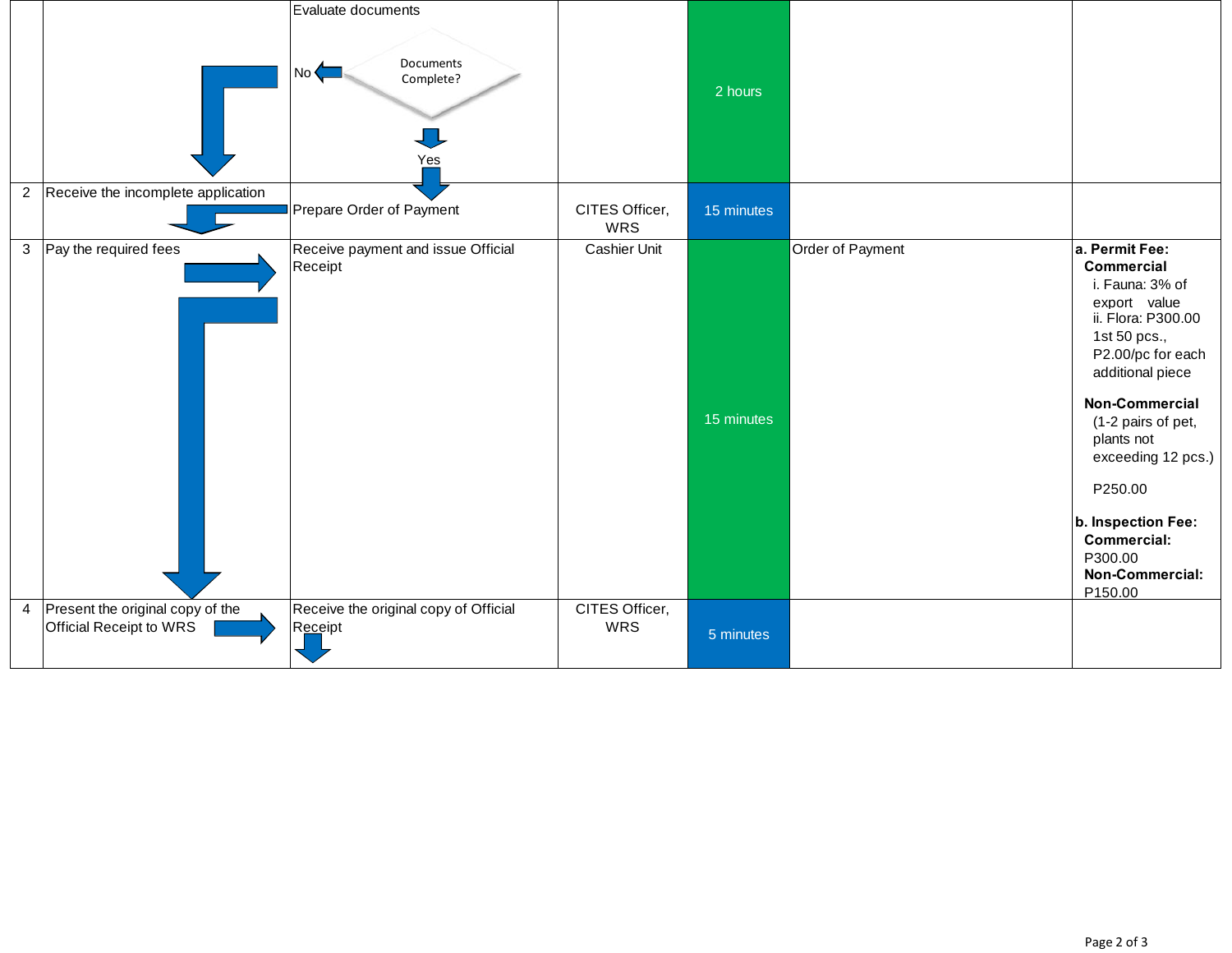|                |                                                                    | Evaluate documents<br>Documents<br>No<<br>Complete? |                              |            |                  |                                                                                                                                                                                                                                                                                                                                          |
|----------------|--------------------------------------------------------------------|-----------------------------------------------------|------------------------------|------------|------------------|------------------------------------------------------------------------------------------------------------------------------------------------------------------------------------------------------------------------------------------------------------------------------------------------------------------------------------------|
|                |                                                                    | Yes                                                 |                              | 2 hours    |                  |                                                                                                                                                                                                                                                                                                                                          |
| $\overline{2}$ | Receive the incomplete application                                 | Prepare Order of Payment                            | CITES Officer,<br><b>WRS</b> | 15 minutes |                  |                                                                                                                                                                                                                                                                                                                                          |
| $\mathbf{3}$   | Pay the required fees                                              | Receive payment and issue Official<br>Receipt       | Cashier Unit                 | 15 minutes | Order of Payment | a. Permit Fee:<br><b>Commercial</b><br>i. Fauna: 3% of<br>export value<br>ii. Flora: P300.00<br>1st 50 pcs.,<br>P2.00/pc for each<br>additional piece<br><b>Non-Commercial</b><br>(1-2 pairs of pet,<br>plants not<br>exceeding 12 pcs.)<br>P250.00<br>b. Inspection Fee:<br><b>Commercial:</b><br>P300.00<br>Non-Commercial:<br>P150.00 |
| $\overline{4}$ | Present the original copy of the<br><b>Official Receipt to WRS</b> | Receive the original copy of Official<br>Receipt    | CITES Officer,<br>WRS        | 5 minutes  |                  |                                                                                                                                                                                                                                                                                                                                          |